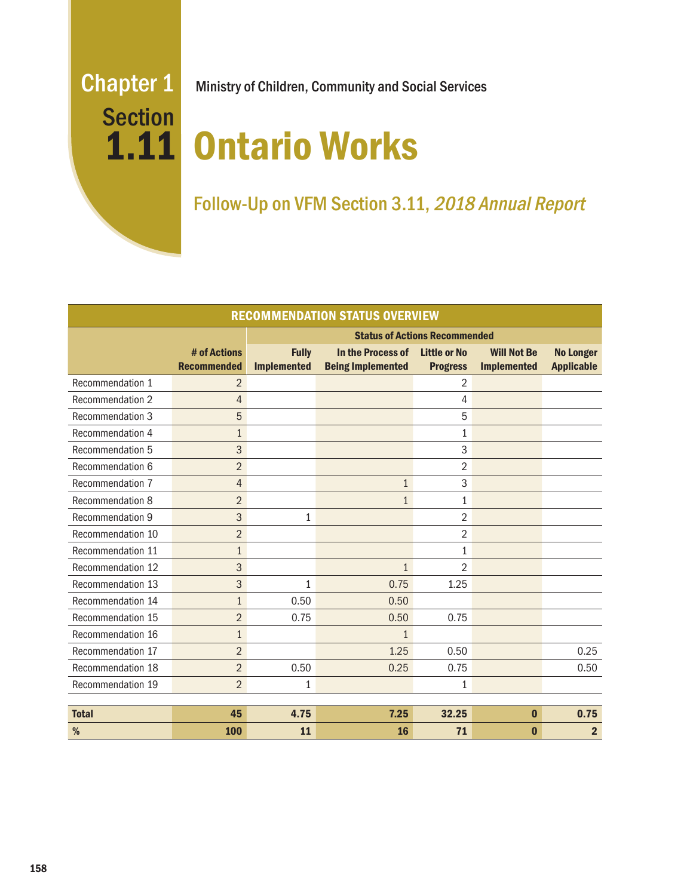# **Section**

Chapter 1 Ministry of Children, Community and Social Services

# 1.11 Ontario Works

# Follow-Up on VFM Section 3.11, 2018 Annual Report

| <b>RECOMMENDATION STATUS OVERVIEW</b> |                                    |                                      |                                               |                                        |                                          |                                       |
|---------------------------------------|------------------------------------|--------------------------------------|-----------------------------------------------|----------------------------------------|------------------------------------------|---------------------------------------|
|                                       |                                    | <b>Status of Actions Recommended</b> |                                               |                                        |                                          |                                       |
|                                       | # of Actions<br><b>Recommended</b> | <b>Fully</b><br><b>Implemented</b>   | In the Process of<br><b>Being Implemented</b> | <b>Little or No</b><br><b>Progress</b> | <b>Will Not Be</b><br><b>Implemented</b> | <b>No Longer</b><br><b>Applicable</b> |
| Recommendation 1                      | $\overline{2}$                     |                                      |                                               | 2                                      |                                          |                                       |
| Recommendation 2                      | $\overline{4}$                     |                                      |                                               | 4                                      |                                          |                                       |
| Recommendation 3                      | 5                                  |                                      |                                               | 5                                      |                                          |                                       |
| Recommendation 4                      | $\mathbf{1}$                       |                                      |                                               | 1                                      |                                          |                                       |
| Recommendation 5                      | 3                                  |                                      |                                               | 3                                      |                                          |                                       |
| Recommendation 6                      | $\overline{2}$                     |                                      |                                               | 2                                      |                                          |                                       |
| Recommendation 7                      | $\overline{4}$                     |                                      | $\mathbf{1}$                                  | 3                                      |                                          |                                       |
| Recommendation 8                      | $\overline{2}$                     |                                      | $\mathbf{1}$                                  | $\mathbf{1}$                           |                                          |                                       |
| Recommendation 9                      | 3                                  | $\mathbf{1}$                         |                                               | $\overline{2}$                         |                                          |                                       |
| Recommendation 10                     | $\overline{2}$                     |                                      |                                               | 2                                      |                                          |                                       |
| Recommendation 11                     | $\mathbf{1}$                       |                                      |                                               | $\mathbf{1}$                           |                                          |                                       |
| Recommendation 12                     | 3                                  |                                      | $\mathbf{1}$                                  | $\overline{2}$                         |                                          |                                       |
| Recommendation 13                     | 3                                  | 1                                    | 0.75                                          | 1.25                                   |                                          |                                       |
| Recommendation 14                     | $\mathbf{1}$                       | 0.50                                 | 0.50                                          |                                        |                                          |                                       |
| Recommendation 15                     | $\overline{2}$                     | 0.75                                 | 0.50                                          | 0.75                                   |                                          |                                       |
| Recommendation 16                     | $\mathbf{1}$                       |                                      | 1                                             |                                        |                                          |                                       |
| Recommendation 17                     | $\overline{2}$                     |                                      | 1.25                                          | 0.50                                   |                                          | 0.25                                  |
| Recommendation 18                     | $\overline{2}$                     | 0.50                                 | 0.25                                          | 0.75                                   |                                          | 0.50                                  |
| Recommendation 19                     | $\overline{2}$                     | 1                                    |                                               | $\mathbf{1}$                           |                                          |                                       |
|                                       |                                    |                                      |                                               |                                        |                                          |                                       |
| <b>Total</b>                          | 45                                 | 4.75                                 | 7.25                                          | 32.25                                  | $\bf{0}$                                 | 0.75                                  |
| %                                     | 100                                | 11                                   | 16                                            | 71                                     | $\bf{0}$                                 | $\overline{2}$                        |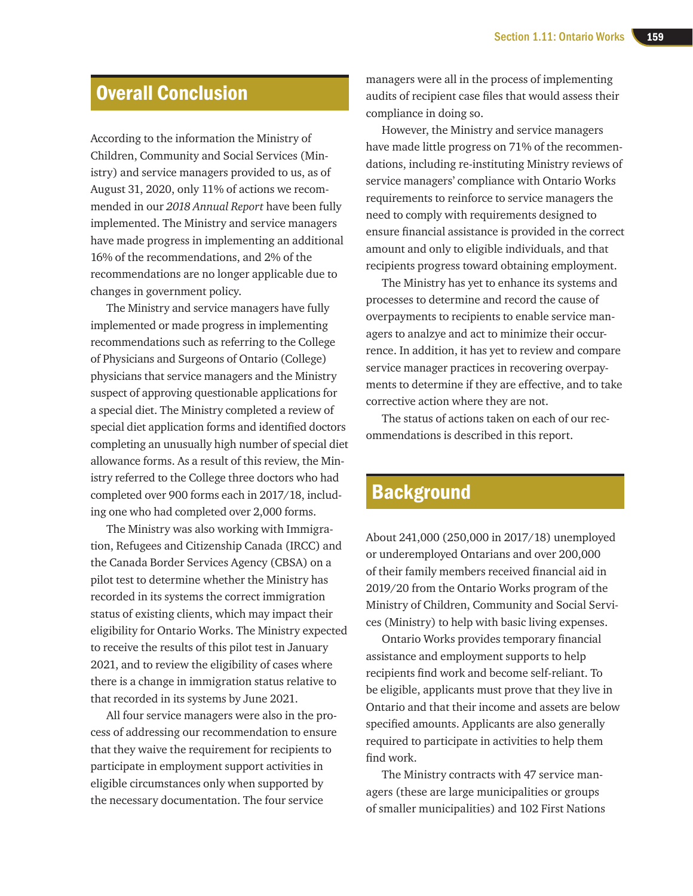# Overall Conclusion

According to the information the Ministry of Children, Community and Social Services (Ministry) and service managers provided to us, as of August 31, 2020, only 11% of actions we recommended in our *2018 Annual Report* have been fully implemented. The Ministry and service managers have made progress in implementing an additional 16% of the recommendations, and 2% of the recommendations are no longer applicable due to changes in government policy.

The Ministry and service managers have fully implemented or made progress in implementing recommendations such as referring to the College of Physicians and Surgeons of Ontario (College) physicians that service managers and the Ministry suspect of approving questionable applications for a special diet. The Ministry completed a review of special diet application forms and identified doctors completing an unusually high number of special diet allowance forms. As a result of this review, the Ministry referred to the College three doctors who had completed over 900 forms each in 2017/18, including one who had completed over 2,000 forms.

The Ministry was also working with Immigration, Refugees and Citizenship Canada (IRCC) and the Canada Border Services Agency (CBSA) on a pilot test to determine whether the Ministry has recorded in its systems the correct immigration status of existing clients, which may impact their eligibility for Ontario Works. The Ministry expected to receive the results of this pilot test in January 2021, and to review the eligibility of cases where there is a change in immigration status relative to that recorded in its systems by June 2021.

All four service managers were also in the process of addressing our recommendation to ensure that they waive the requirement for recipients to participate in employment support activities in eligible circumstances only when supported by the necessary documentation. The four service

managers were all in the process of implementing audits of recipient case files that would assess their compliance in doing so.

However, the Ministry and service managers have made little progress on 71% of the recommendations, including re-instituting Ministry reviews of service managers' compliance with Ontario Works requirements to reinforce to service managers the need to comply with requirements designed to ensure financial assistance is provided in the correct amount and only to eligible individuals, and that recipients progress toward obtaining employment.

The Ministry has yet to enhance its systems and processes to determine and record the cause of overpayments to recipients to enable service managers to analzye and act to minimize their occurrence. In addition, it has yet to review and compare service manager practices in recovering overpayments to determine if they are effective, and to take corrective action where they are not.

The status of actions taken on each of our recommendations is described in this report.

# **Background**

About 241,000 (250,000 in 2017/18) unemployed or underemployed Ontarians and over 200,000 of their family members received financial aid in 2019/20 from the Ontario Works program of the Ministry of Children, Community and Social Services (Ministry) to help with basic living expenses.

Ontario Works provides temporary financial assistance and employment supports to help recipients find work and become self-reliant. To be eligible, applicants must prove that they live in Ontario and that their income and assets are below specified amounts. Applicants are also generally required to participate in activities to help them find work.

The Ministry contracts with 47 service managers (these are large municipalities or groups of smaller municipalities) and 102 First Nations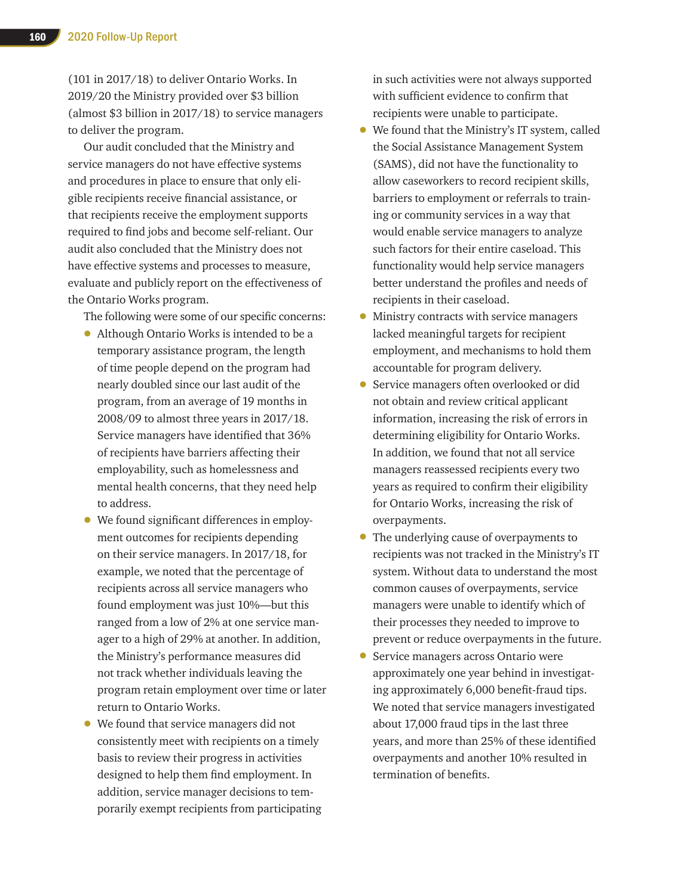(101 in 2017/18) to deliver Ontario Works. In 2019/20 the Ministry provided over \$3 billion (almost \$3 billion in 2017/18) to service managers to deliver the program.

Our audit concluded that the Ministry and service managers do not have effective systems and procedures in place to ensure that only eligible recipients receive financial assistance, or that recipients receive the employment supports required to find jobs and become self-reliant. Our audit also concluded that the Ministry does not have effective systems and processes to measure, evaluate and publicly report on the effectiveness of the Ontario Works program.

The following were some of our specific concerns:

- Although Ontario Works is intended to be a temporary assistance program, the length of time people depend on the program had nearly doubled since our last audit of the program, from an average of 19 months in 2008/09 to almost three years in 2017/18. Service managers have identified that 36% of recipients have barriers affecting their employability, such as homelessness and mental health concerns, that they need help to address.
- We found significant differences in employment outcomes for recipients depending on their service managers. In 2017/18, for example, we noted that the percentage of recipients across all service managers who found employment was just 10%—but this ranged from a low of 2% at one service manager to a high of 29% at another. In addition, the Ministry's performance measures did not track whether individuals leaving the program retain employment over time or later return to Ontario Works.
- We found that service managers did not consistently meet with recipients on a timely basis to review their progress in activities designed to help them find employment. In addition, service manager decisions to temporarily exempt recipients from participating

in such activities were not always supported with sufficient evidence to confirm that recipients were unable to participate.

- We found that the Ministry's IT system, called the Social Assistance Management System (SAMS), did not have the functionality to allow caseworkers to record recipient skills, barriers to employment or referrals to training or community services in a way that would enable service managers to analyze such factors for their entire caseload. This functionality would help service managers better understand the profiles and needs of recipients in their caseload.
- Ministry contracts with service managers lacked meaningful targets for recipient employment, and mechanisms to hold them accountable for program delivery.
- Service managers often overlooked or did not obtain and review critical applicant information, increasing the risk of errors in determining eligibility for Ontario Works. In addition, we found that not all service managers reassessed recipients every two years as required to confirm their eligibility for Ontario Works, increasing the risk of overpayments.
- The underlying cause of overpayments to recipients was not tracked in the Ministry's IT system. Without data to understand the most common causes of overpayments, service managers were unable to identify which of their processes they needed to improve to prevent or reduce overpayments in the future.
- Service managers across Ontario were approximately one year behind in investigating approximately 6,000 benefit-fraud tips. We noted that service managers investigated about 17,000 fraud tips in the last three years, and more than 25% of these identified overpayments and another 10% resulted in termination of benefits.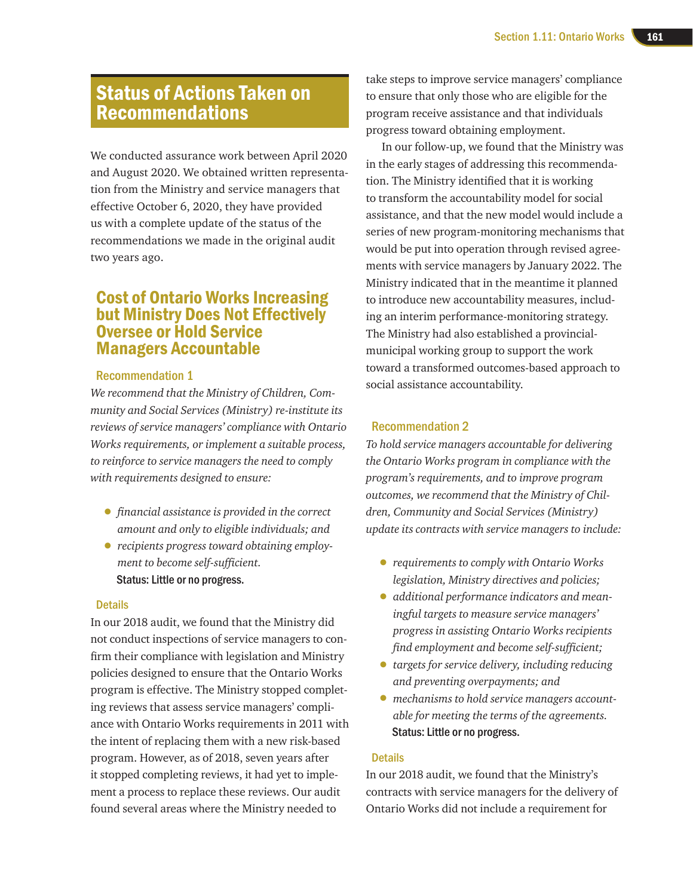# Status of Actions Taken on Recommendations

We conducted assurance work between April 2020 and August 2020. We obtained written representation from the Ministry and service managers that effective October 6, 2020, they have provided us with a complete update of the status of the recommendations we made in the original audit two years ago.

# Cost of Ontario Works Increasing but Ministry Does Not Effectively Oversee or Hold Service Managers Accountable

#### Recommendation 1

*We recommend that the Ministry of Children, Community and Social Services (Ministry) re-institute its reviews of service managers' compliance with Ontario Works requirements, or implement a suitable process, to reinforce to service managers the need to comply with requirements designed to ensure:*

- • *financial assistance is provided in the correct amount and only to eligible individuals; and*
- *recipients progress toward obtaining employment to become self-sufficient.* Status: Little or no progress.

#### **Details**

In our 2018 audit, we found that the Ministry did not conduct inspections of service managers to confirm their compliance with legislation and Ministry policies designed to ensure that the Ontario Works program is effective. The Ministry stopped completing reviews that assess service managers' compliance with Ontario Works requirements in 2011 with the intent of replacing them with a new risk-based program. However, as of 2018, seven years after it stopped completing reviews, it had yet to implement a process to replace these reviews. Our audit found several areas where the Ministry needed to

take steps to improve service managers' compliance to ensure that only those who are eligible for the program receive assistance and that individuals progress toward obtaining employment.

In our follow-up, we found that the Ministry was in the early stages of addressing this recommendation. The Ministry identified that it is working to transform the accountability model for social assistance, and that the new model would include a series of new program-monitoring mechanisms that would be put into operation through revised agreements with service managers by January 2022. The Ministry indicated that in the meantime it planned to introduce new accountability measures, including an interim performance-monitoring strategy. The Ministry had also established a provincialmunicipal working group to support the work toward a transformed outcomes-based approach to social assistance accountability.

#### Recommendation 2

*To hold service managers accountable for delivering the Ontario Works program in compliance with the program's requirements, and to improve program outcomes, we recommend that the Ministry of Children, Community and Social Services (Ministry) update its contracts with service managers to include:*

- *requirements to comply with Ontario Works legislation, Ministry directives and policies;*
- *additional performance indicators and meaningful targets to measure service managers' progress in assisting Ontario Works recipients find employment and become self-sufficient;*
- *targets for service delivery, including reducing and preventing overpayments; and*
- *mechanisms to hold service managers accountable for meeting the terms of the agreements.* Status: Little or no progress.

#### **Details**

In our 2018 audit, we found that the Ministry's contracts with service managers for the delivery of Ontario Works did not include a requirement for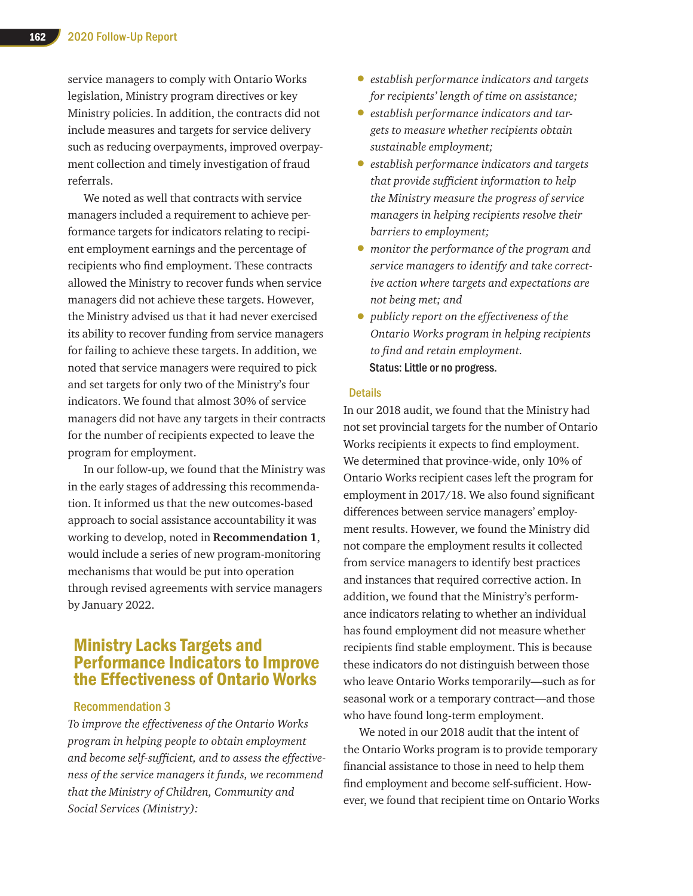service managers to comply with Ontario Works legislation, Ministry program directives or key Ministry policies. In addition, the contracts did not include measures and targets for service delivery such as reducing overpayments, improved overpayment collection and timely investigation of fraud referrals.

We noted as well that contracts with service managers included a requirement to achieve performance targets for indicators relating to recipient employment earnings and the percentage of recipients who find employment. These contracts allowed the Ministry to recover funds when service managers did not achieve these targets. However, the Ministry advised us that it had never exercised its ability to recover funding from service managers for failing to achieve these targets. In addition, we noted that service managers were required to pick and set targets for only two of the Ministry's four indicators. We found that almost 30% of service managers did not have any targets in their contracts for the number of recipients expected to leave the program for employment.

In our follow-up, we found that the Ministry was in the early stages of addressing this recommendation. It informed us that the new outcomes-based approach to social assistance accountability it was working to develop, noted in **Recommendation 1**, would include a series of new program-monitoring mechanisms that would be put into operation through revised agreements with service managers by January 2022.

# Ministry Lacks Targets and Performance Indicators to Improve the Effectiveness of Ontario Works

#### Recommendation 3

*To improve the effectiveness of the Ontario Works program in helping people to obtain employment and become self-sufficient, and to assess the effectiveness of the service managers it funds, we recommend that the Ministry of Children, Community and Social Services (Ministry):*

- *establish performance indicators and targets for recipients' length of time on assistance;*
- *establish performance indicators and targets to measure whether recipients obtain sustainable employment;*
- *establish performance indicators and targets that provide sufficient information to help the Ministry measure the progress of service managers in helping recipients resolve their barriers to employment;*
- *monitor the performance of the program and service managers to identify and take corrective action where targets and expectations are not being met; and*
- *publicly report on the effectiveness of the Ontario Works program in helping recipients to find and retain employment.* Status: Little or no progress.

#### **Details**

In our 2018 audit, we found that the Ministry had not set provincial targets for the number of Ontario Works recipients it expects to find employment. We determined that province-wide, only 10% of Ontario Works recipient cases left the program for employment in 2017/18. We also found significant differences between service managers' employment results. However, we found the Ministry did not compare the employment results it collected from service managers to identify best practices and instances that required corrective action. In addition, we found that the Ministry's performance indicators relating to whether an individual has found employment did not measure whether recipients find stable employment. This is because these indicators do not distinguish between those who leave Ontario Works temporarily—such as for seasonal work or a temporary contract—and those who have found long-term employment.

We noted in our 2018 audit that the intent of the Ontario Works program is to provide temporary financial assistance to those in need to help them find employment and become self-sufficient. However, we found that recipient time on Ontario Works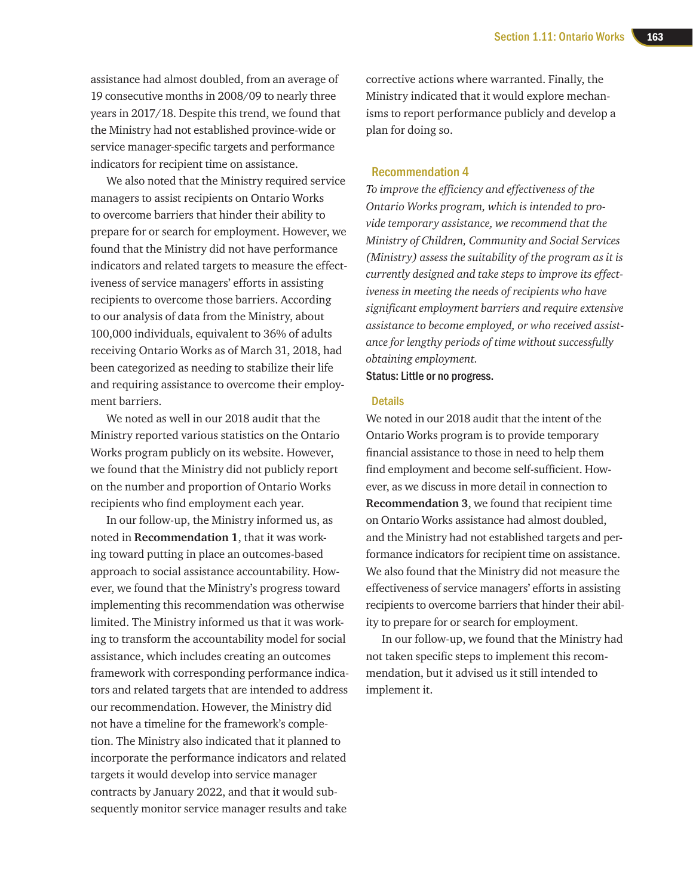assistance had almost doubled, from an average of 19 consecutive months in 2008/09 to nearly three years in 2017/18. Despite this trend, we found that the Ministry had not established province-wide or service manager-specific targets and performance indicators for recipient time on assistance.

We also noted that the Ministry required service managers to assist recipients on Ontario Works to overcome barriers that hinder their ability to prepare for or search for employment. However, we found that the Ministry did not have performance indicators and related targets to measure the effectiveness of service managers' efforts in assisting recipients to overcome those barriers. According to our analysis of data from the Ministry, about 100,000 individuals, equivalent to 36% of adults receiving Ontario Works as of March 31, 2018, had been categorized as needing to stabilize their life and requiring assistance to overcome their employment barriers.

We noted as well in our 2018 audit that the Ministry reported various statistics on the Ontario Works program publicly on its website. However, we found that the Ministry did not publicly report on the number and proportion of Ontario Works recipients who find employment each year.

In our follow-up, the Ministry informed us, as noted in **Recommendation 1**, that it was working toward putting in place an outcomes-based approach to social assistance accountability. However, we found that the Ministry's progress toward implementing this recommendation was otherwise limited. The Ministry informed us that it was working to transform the accountability model for social assistance, which includes creating an outcomes framework with corresponding performance indicators and related targets that are intended to address our recommendation. However, the Ministry did not have a timeline for the framework's completion. The Ministry also indicated that it planned to incorporate the performance indicators and related targets it would develop into service manager contracts by January 2022, and that it would subsequently monitor service manager results and take

corrective actions where warranted. Finally, the Ministry indicated that it would explore mechanisms to report performance publicly and develop a plan for doing so.

#### Recommendation 4

*To improve the efficiency and effectiveness of the Ontario Works program, which is intended to provide temporary assistance, we recommend that the Ministry of Children, Community and Social Services (Ministry) assess the suitability of the program as it is currently designed and take steps to improve its effectiveness in meeting the needs of recipients who have significant employment barriers and require extensive assistance to become employed, or who received assistance for lengthy periods of time without successfully obtaining employment.*

Status: Little or no progress.

#### **Details**

We noted in our 2018 audit that the intent of the Ontario Works program is to provide temporary financial assistance to those in need to help them find employment and become self-sufficient. However, as we discuss in more detail in connection to **Recommendation 3**, we found that recipient time on Ontario Works assistance had almost doubled, and the Ministry had not established targets and performance indicators for recipient time on assistance. We also found that the Ministry did not measure the effectiveness of service managers' efforts in assisting recipients to overcome barriers that hinder their ability to prepare for or search for employment.

In our follow-up, we found that the Ministry had not taken specific steps to implement this recommendation, but it advised us it still intended to implement it.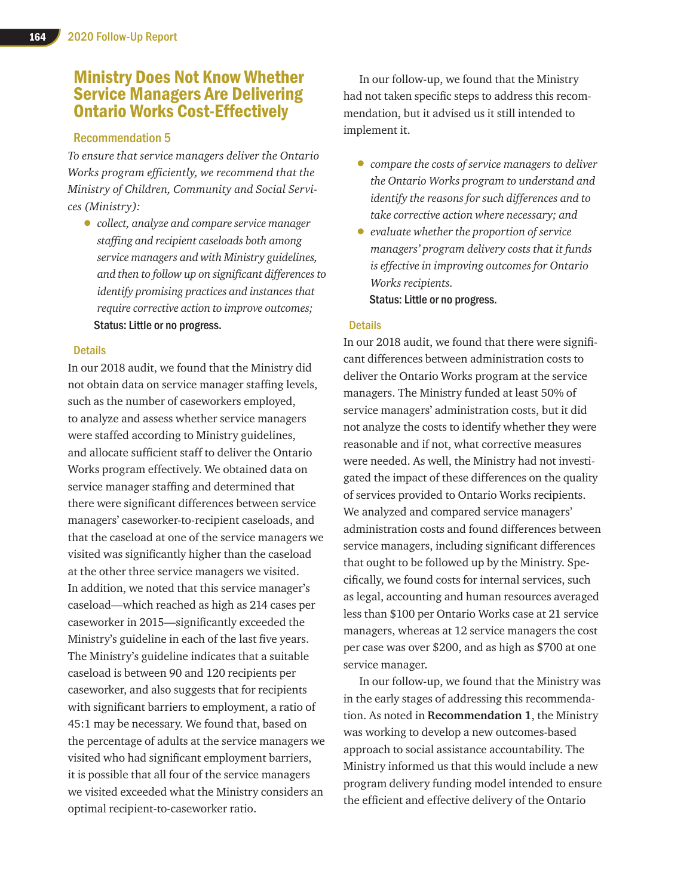# Ministry Does Not Know Whether Service Managers Are Delivering Ontario Works Cost-Effectively

#### Recommendation 5

*To ensure that service managers deliver the Ontario Works program efficiently, we recommend that the Ministry of Children, Community and Social Services (Ministry):*

• *collect, analyze and compare service manager staffing and recipientcaseloads both among service managers and with Ministry guidelines, and then to follow up on significant differences to identify promising practices and instances that require corrective action to improve outcomes;* Status: Little or no progress.

#### **Details**

In our 2018 audit, we found that the Ministry did not obtain data on service manager staffing levels, such as the number of caseworkers employed, to analyze and assess whether service managers were staffed according to Ministry guidelines, and allocate sufficient staff to deliver the Ontario Works program effectively. We obtained data on service manager staffing and determined that there were significant differences between service managers' caseworker-to-recipient caseloads, and that the caseload at one of the service managers we visited was significantly higher than the caseload at the other three service managers we visited. In addition, we noted that this service manager's caseload—which reached as high as 214 cases per caseworker in 2015—significantly exceeded the Ministry's guideline in each of the last five years. The Ministry's guideline indicates that a suitable caseload is between 90 and 120 recipients per caseworker, and also suggests that for recipients with significant barriers to employment, a ratio of 45:1 may be necessary. We found that, based on the percentage of adults at the service managers we visited who had significant employment barriers, it is possible that all four of the service managers we visited exceeded what the Ministry considers an optimal recipient-to-caseworker ratio.

In our follow-up, we found that the Ministry had not taken specific steps to address this recommendation, but it advised us it still intended to implement it.

- *compare the costs of service managers to deliver the Ontario Works program to understand and identify the reasons for such differences and to take corrective action where necessary; and*
- *evaluate whether the proportion of service managers' program delivery costs that it funds is effective in improving outcomes for Ontario Works recipients.* Status: Little or no progress.

#### **Details**

In our 2018 audit, we found that there were significant differences between administration costs to deliver the Ontario Works program at the service managers. The Ministry funded at least 50% of service managers' administration costs, but it did not analyze the costs to identify whether they were reasonable and if not, what corrective measures were needed. As well, the Ministry had not investigated the impact of these differences on the quality of services provided to Ontario Works recipients. We analyzed and compared service managers' administration costs and found differences between service managers, including significant differences that ought to be followed up by the Ministry. Specifically, we found costs for internal services, such as legal, accounting and human resources averaged less than \$100 per Ontario Works case at 21 service managers, whereas at 12 service managers the cost per case was over \$200, and as high as \$700 at one service manager.

In our follow-up, we found that the Ministry was in the early stages of addressing this recommendation. As noted in **Recommendation 1**, the Ministry was working to develop a new outcomes-based approach to social assistance accountability. The Ministry informed us that this would include a new program delivery funding model intended to ensure the efficient and effective delivery of the Ontario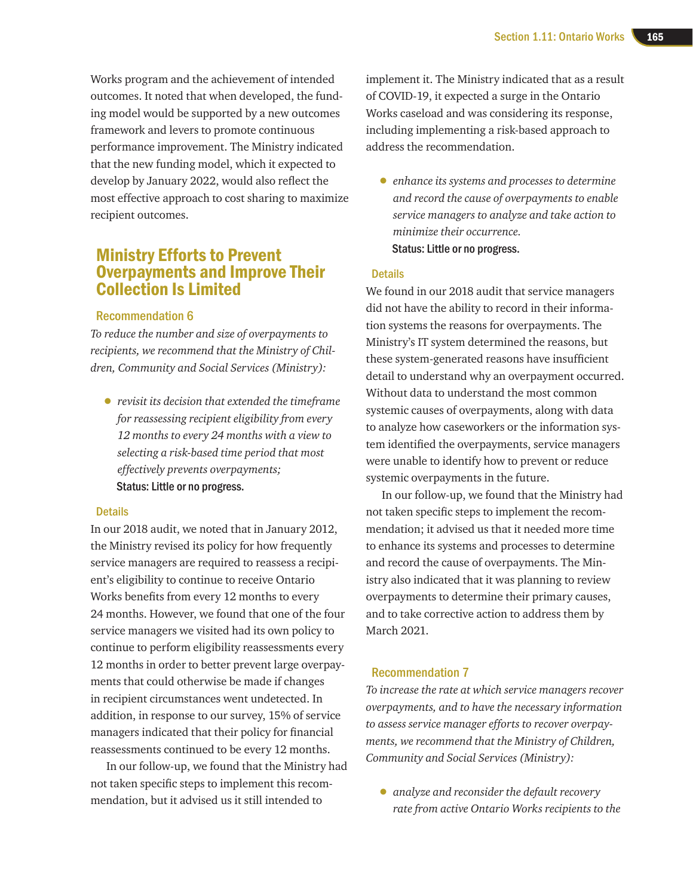Works program and the achievement of intended outcomes. It noted that when developed, the funding model would be supported by a new outcomes framework and levers to promote continuous performance improvement. The Ministry indicated that the new funding model, which it expected to develop by January 2022, would also reflect the most effective approach to cost sharing to maximize recipient outcomes.

# Ministry Efforts to Prevent Overpayments and Improve Their Collection Is Limited

#### Recommendation 6

*To reduce the number and size of overpayments to recipients, we recommend that the Ministry of Children, Community and Social Services (Ministry):*

• *revisit its decision that extended the timeframe for reassessing recipient eligibility from every 12 months to every 24 months with a view to selecting a risk-based time period that most effectively prevents overpayments;*  Status: Little or no progress.

#### **Details**

In our 2018 audit, we noted that in January 2012, the Ministry revised its policy for how frequently service managers are required to reassess a recipient's eligibility to continue to receive Ontario Works benefits from every 12 months to every 24 months. However, we found that one of the four service managers we visited had its own policy to continue to perform eligibility reassessments every 12 months in order to better prevent large overpayments that could otherwise be made if changes in recipient circumstances went undetected. In addition, in response to our survey, 15% of service managers indicated that their policy for financial reassessments continued to be every 12 months.

In our follow-up, we found that the Ministry had not taken specific steps to implement this recommendation, but it advised us it still intended to

implement it. The Ministry indicated that as a result of COVID-19, it expected a surge in the Ontario Works caseload and was considering its response, including implementing a risk-based approach to address the recommendation.

• *enhance its systems and processes to determine and record the cause of overpayments to enable service managers to analyze and take action to minimize their occurrence.* Status: Little or no progress.

#### **Details**

We found in our 2018 audit that service managers did not have the ability to record in their information systems the reasons for overpayments. The Ministry's IT system determined the reasons, but these system-generated reasons have insufficient detail to understand why an overpayment occurred. Without data to understand the most common systemic causes of overpayments, along with data to analyze how caseworkers or the information system identified the overpayments, service managers were unable to identify how to prevent or reduce systemic overpayments in the future.

In our follow-up, we found that the Ministry had not taken specific steps to implement the recommendation; it advised us that it needed more time to enhance its systems and processes to determine and record the cause of overpayments. The Ministry also indicated that it was planning to review overpayments to determine their primary causes, and to take corrective action to address them by March 2021.

#### Recommendation 7

*To increase the rate at which service managers recover overpayments, and to have the necessary information to assess service manager efforts to recover overpayments, we recommend that the Ministry of Children, Community and Social Services (Ministry):*

• *analyze and reconsider the default recovery rate from active Ontario Works recipients to the*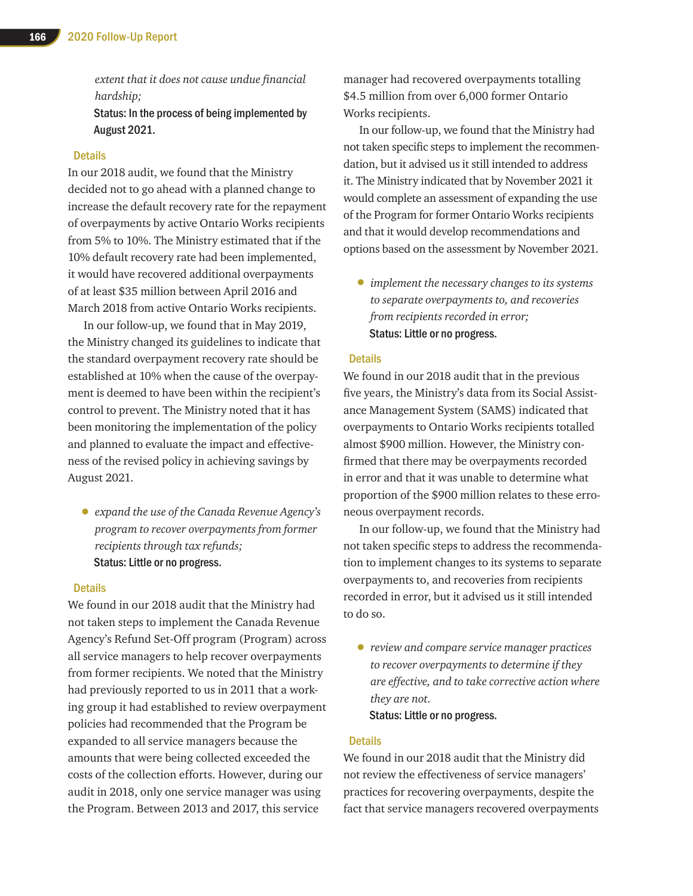*extent that it does not cause undue financial hardship;* Status: In the process of being implemented by

August 2021.

#### **Details**

In our 2018 audit, we found that the Ministry decided not to go ahead with a planned change to increase the default recovery rate for the repayment of overpayments by active Ontario Works recipients from 5% to 10%. The Ministry estimated that if the 10% default recovery rate had been implemented, it would have recovered additional overpayments of at least \$35 million between April 2016 and March 2018 from active Ontario Works recipients.

In our follow-up, we found that in May 2019, the Ministry changed its guidelines to indicate that the standard overpayment recovery rate should be established at 10% when the cause of the overpayment is deemed to have been within the recipient's control to prevent. The Ministry noted that it has been monitoring the implementation of the policy and planned to evaluate the impact and effectiveness of the revised policy in achieving savings by August 2021.

• *expand the use of the Canada Revenue Agency's program to recover overpayments from former recipients through tax refunds;* Status: Little or no progress.

#### Details

We found in our 2018 audit that the Ministry had not taken steps to implement the Canada Revenue Agency's Refund Set-Off program (Program) across all service managers to help recover overpayments from former recipients. We noted that the Ministry had previously reported to us in 2011 that a working group it had established to review overpayment policies had recommended that the Program be expanded to all service managers because the amounts that were being collected exceeded the costs of the collection efforts. However, during our audit in 2018, only one service manager was using the Program. Between 2013 and 2017, this service

manager had recovered overpayments totalling \$4.5 million from over 6,000 former Ontario Works recipients.

In our follow-up, we found that the Ministry had not taken specific steps to implement the recommendation, but it advised us it still intended to address it. The Ministry indicated that by November 2021 it would complete an assessment of expanding the use of the Program for former Ontario Works recipients and that it would develop recommendations and options based on the assessment by November 2021.

• *implement the necessary changes to its systems to separate overpayments to, and recoveries from recipients recorded in error;*  Status: Little or no progress.

#### **Details**

We found in our 2018 audit that in the previous five years, the Ministry's data from its Social Assistance Management System (SAMS) indicated that overpayments to Ontario Works recipients totalled almost \$900 million. However, the Ministry confirmed that there may be overpayments recorded in error and that it was unable to determine what proportion of the \$900 million relates to these erroneous overpayment records.

In our follow-up, we found that the Ministry had not taken specific steps to address the recommendation to implement changes to its systems to separate overpayments to, and recoveries from recipients recorded in error, but it advised us it still intended to do so.

• *review and compare service manager practices to recover overpayments to determine if they are effective, and to take corrective action where they are not.* Status: Little or no progress.

#### **Details**

We found in our 2018 audit that the Ministry did not review the effectiveness of service managers' practices for recovering overpayments, despite the fact that service managers recovered overpayments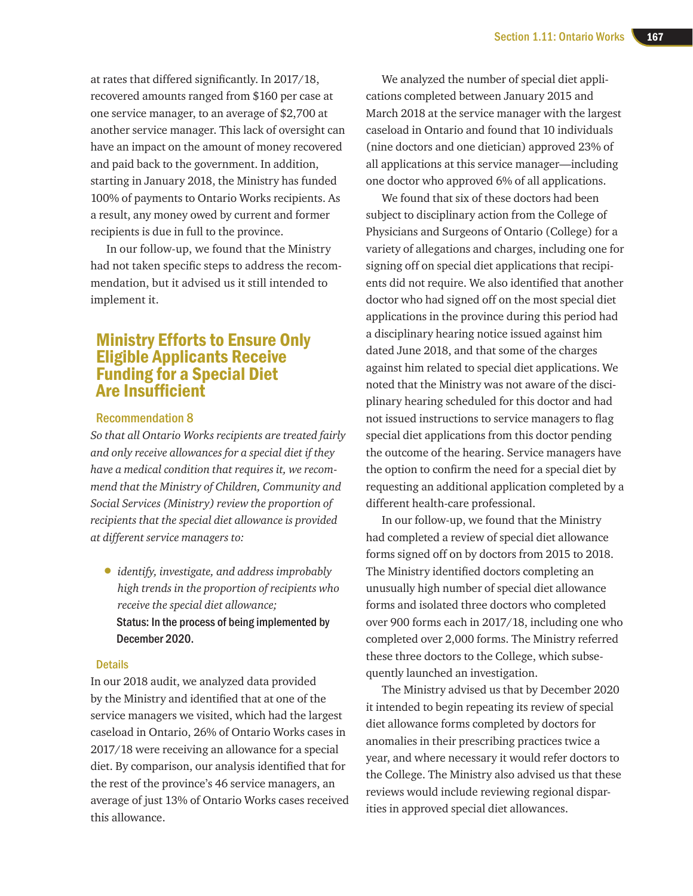at rates that differed significantly. In 2017/18, recovered amounts ranged from \$160 per case at one service manager, to an average of \$2,700 at another service manager. This lack of oversight can have an impact on the amount of money recovered and paid back to the government. In addition, starting in January 2018, the Ministry has funded 100% of payments to Ontario Works recipients. As a result, any money owed by current and former recipients is due in full to the province.

In our follow-up, we found that the Ministry had not taken specific steps to address the recommendation, but it advised us it still intended to implement it.

# Ministry Efforts to Ensure Only Eligible Applicants Receive Funding for a Special Diet Are Insufficient

#### Recommendation 8

*So that all Ontario Works recipients are treated fairly and only receive allowances for a special diet if they have a medical condition that requires it, we recommend that the Ministry of Children, Community and Social Services (Ministry) review the proportion of recipients that the special diet allowance is provided at different service managers to:*

• *identify, investigate, and address improbably high trends in the proportion of recipients who receive the special diet allowance;*  Status: In the process of being implemented by December 2020.

#### **Details**

In our 2018 audit, we analyzed data provided by the Ministry and identified that at one of the service managers we visited, which had the largest caseload in Ontario, 26% of Ontario Works cases in 2017/18 were receiving an allowance for a special diet. By comparison, our analysis identified that for the rest of the province's 46 service managers, an average of just 13% of Ontario Works cases received this allowance.

We analyzed the number of special diet applications completed between January 2015 and March 2018 at the service manager with the largest caseload in Ontario and found that 10 individuals (nine doctors and one dietician) approved 23% of all applications at this service manager—including one doctor who approved 6% of all applications.

We found that six of these doctors had been subject to disciplinary action from the College of Physicians and Surgeons of Ontario (College) for a variety of allegations and charges, including one for signing off on special diet applications that recipients did not require. We also identified that another doctor who had signed off on the most special diet applications in the province during this period had a disciplinary hearing notice issued against him dated June 2018, and that some of the charges against him related to special diet applications. We noted that the Ministry was not aware of the disciplinary hearing scheduled for this doctor and had not issued instructions to service managers to flag special diet applications from this doctor pending the outcome of the hearing. Service managers have the option to confirm the need for a special diet by requesting an additional application completed by a different health-care professional.

In our follow-up, we found that the Ministry had completed a review of special diet allowance forms signed off on by doctors from 2015 to 2018. The Ministry identified doctors completing an unusually high number of special diet allowance forms and isolated three doctors who completed over 900 forms each in 2017/18, including one who completed over 2,000 forms. The Ministry referred these three doctors to the College, which subsequently launched an investigation.

The Ministry advised us that by December 2020 it intended to begin repeating its review of special diet allowance forms completed by doctors for anomalies in their prescribing practices twice a year, and where necessary it would refer doctors to the College. The Ministry also advised us that these reviews would include reviewing regional disparities in approved special diet allowances.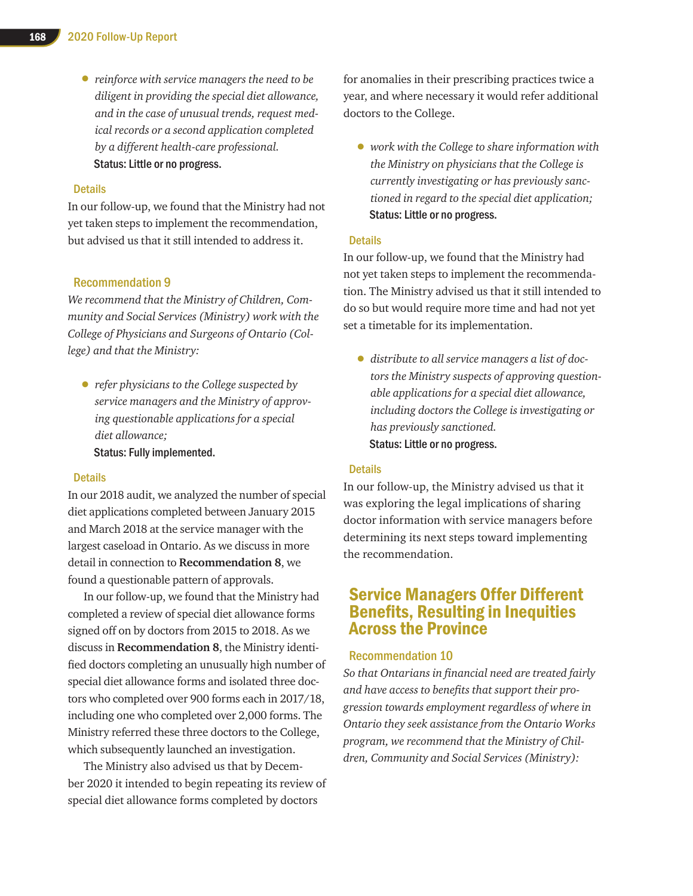• *reinforce with service managers the need to be diligent in providing the special diet allowance, and in the case of unusual trends, request medical records or a second application completed by a different health-care professional.* Status: Little or no progress.

#### **Details**

In our follow-up, we found that the Ministry had not yet taken steps to implement the recommendation, but advised us that it still intended to address it.

#### Recommendation 9

*We recommend that the Ministry of Children, Community and Social Services (Ministry) work with the College of Physicians and Surgeons of Ontario (College) and that the Ministry:*

• *refer physicians to the College suspected by service managers and the Ministry of approving questionable applications for a special diet allowance;*  Status: Fully implemented.

#### **Details**

In our 2018 audit, we analyzed the number of special diet applications completed between January 2015 and March 2018 at the service manager with the largest caseload in Ontario. As we discuss in more detail in connection to **Recommendation 8**, we found a questionable pattern of approvals.

In our follow-up, we found that the Ministry had completed a review of special diet allowance forms signed off on by doctors from 2015 to 2018. As we discuss in **Recommendation 8**, the Ministry identified doctors completing an unusually high number of special diet allowance forms and isolated three doctors who completed over 900 forms each in 2017/18, including one who completed over 2,000 forms. The Ministry referred these three doctors to the College, which subsequently launched an investigation.

The Ministry also advised us that by December 2020 it intended to begin repeating its review of special diet allowance forms completed by doctors

for anomalies in their prescribing practices twice a year, and where necessary it would refer additional doctors to the College.

• *work with the College to share information with the Ministry on physicians that the College is currently investigating or has previously sanctioned in regard to the special diet application;*  Status: Little or no progress.

#### **Details**

In our follow-up, we found that the Ministry had not yet taken steps to implement the recommendation. The Ministry advised us that it still intended to do so but would require more time and had not yet set a timetable for its implementation.

• *distribute to all service managers a list of doctors the Ministry suspects of approving questionable applications for a special diet allowance, including doctors the College is investigating or has previously sanctioned.* Status: Little or no progress.

#### **Details**

In our follow-up, the Ministry advised us that it was exploring the legal implications of sharing doctor information with service managers before determining its next steps toward implementing the recommendation.

# Service Managers Offer Different Benefits, Resulting in Inequities Across the Province

#### Recommendation 10

*So that Ontarians in financial need are treated fairly and have access to benefits that support their progression towards employment regardless of where in Ontario they seek assistance from the Ontario Works program, we recommend that the Ministry of Children, Community and Social Services (Ministry):*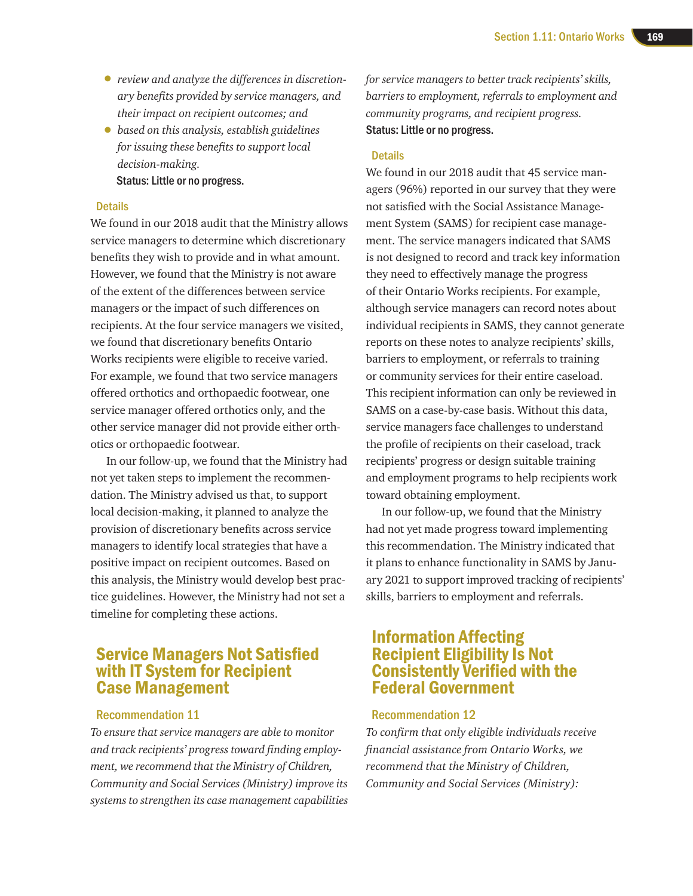- *review and analyze the differences in discretionary benefits provided by service managers, and their impact on recipient outcomes; and*
- *based on this analysis, establish guidelines for issuing these benefits to support local decision-making.*

Status: Little or no progress.

#### **Details**

We found in our 2018 audit that the Ministry allows service managers to determine which discretionary benefits they wish to provide and in what amount. However, we found that the Ministry is not aware of the extent of the differences between service managers or the impact of such differences on recipients. At the four service managers we visited, we found that discretionary benefits Ontario Works recipients were eligible to receive varied. For example, we found that two service managers offered orthotics and orthopaedic footwear, one service manager offered orthotics only, and the other service manager did not provide either orthotics or orthopaedic footwear.

In our follow-up, we found that the Ministry had not yet taken steps to implement the recommendation. The Ministry advised us that, to support local decision-making, it planned to analyze the provision of discretionary benefits across service managers to identify local strategies that have a positive impact on recipient outcomes. Based on this analysis, the Ministry would develop best practice guidelines. However, the Ministry had not set a timeline for completing these actions.

# Service Managers Not Satisfied with IT System for Recipient Case Management

#### Recommendation 11

*To ensure that service managers are able to monitor and track recipients' progress toward finding employment, we recommend that the Ministry of Children, Community and Social Services (Ministry) improve its systems to strengthen its case management capabilities*  *for service managers to better track recipients' skills, barriers to employment, referrals to employment and community programs, and recipient progress.* Status: Little or no progress.

#### **Details**

We found in our 2018 audit that 45 service managers (96%) reported in our survey that they were not satisfied with the Social Assistance Management System (SAMS) for recipient case management. The service managers indicated that SAMS is not designed to record and track key information they need to effectively manage the progress of their Ontario Works recipients. For example, although service managers can record notes about individual recipients in SAMS, they cannot generate reports on these notes to analyze recipients' skills, barriers to employment, or referrals to training or community services for their entire caseload. This recipient information can only be reviewed in SAMS on a case-by-case basis. Without this data, service managers face challenges to understand the profile of recipients on their caseload, track recipients' progress or design suitable training and employment programs to help recipients work toward obtaining employment.

In our follow-up, we found that the Ministry had not yet made progress toward implementing this recommendation. The Ministry indicated that it plans to enhance functionality in SAMS by January 2021 to support improved tracking of recipients' skills, barriers to employment and referrals.

# Information Affecting Recipient Eligibility Is Not Consistently Verified with the Federal Government

#### Recommendation 12

*To confirm that only eligible individuals receive financial assistance from Ontario Works, we recommend that the Ministry of Children, Community and Social Services (Ministry):*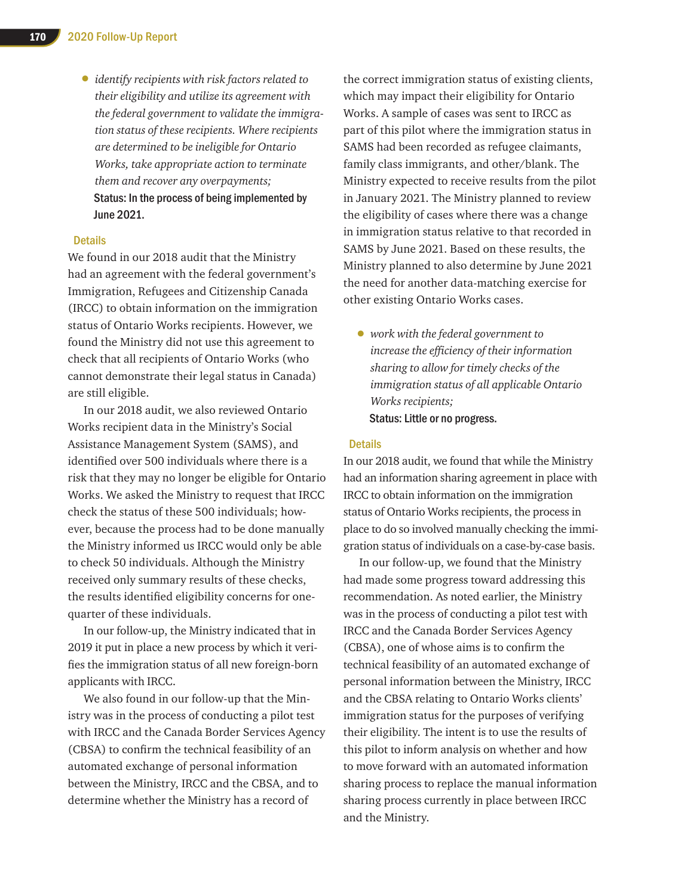• *identify recipients with risk factors related to their eligibility and utilize its agreement with the federal government to validate the immigration status of these recipients. Where recipients are determined to be ineligible for Ontario Works, take appropriate action to terminate them and recover any overpayments;* Status: In the process of being implemented by June 2021.

#### **Details**

We found in our 2018 audit that the Ministry had an agreement with the federal government's Immigration, Refugees and Citizenship Canada (IRCC) to obtain information on the immigration status of Ontario Works recipients. However, we found the Ministry did not use this agreement to check that all recipients of Ontario Works (who cannot demonstrate their legal status in Canada) are still eligible.

In our 2018 audit, we also reviewed Ontario Works recipient data in the Ministry's Social Assistance Management System (SAMS), and identified over 500 individuals where there is a risk that they may no longer be eligible for Ontario Works. We asked the Ministry to request that IRCC check the status of these 500 individuals; however, because the process had to be done manually the Ministry informed us IRCC would only be able to check 50 individuals. Although the Ministry received only summary results of these checks, the results identified eligibility concerns for onequarter of these individuals.

In our follow-up, the Ministry indicated that in 2019 it put in place a new process by which it verifies the immigration status of all new foreign-born applicants with IRCC.

We also found in our follow-up that the Ministry was in the process of conducting a pilot test with IRCC and the Canada Border Services Agency (CBSA) to confirm the technical feasibility of an automated exchange of personal information between the Ministry, IRCC and the CBSA, and to determine whether the Ministry has a record of

the correct immigration status of existing clients, which may impact their eligibility for Ontario Works. A sample of cases was sent to IRCC as part of this pilot where the immigration status in SAMS had been recorded as refugee claimants, family class immigrants, and other/blank. The Ministry expected to receive results from the pilot in January 2021. The Ministry planned to review the eligibility of cases where there was a change in immigration status relative to that recorded in SAMS by June 2021. Based on these results, the Ministry planned to also determine by June 2021 the need for another data-matching exercise for other existing Ontario Works cases.

• *work with the federal government to increase the efficiency of their information sharing to allow for timely checks of the immigration status of all applicable Ontario Works recipients;*  Status: Little or no progress.

#### **Details**

In our 2018 audit, we found that while the Ministry had an information sharing agreement in place with IRCC to obtain information on the immigration status of Ontario Works recipients, the process in place to do so involved manually checking the immigration status of individuals on a case-by-case basis.

In our follow-up, we found that the Ministry had made some progress toward addressing this recommendation. As noted earlier, the Ministry was in the process of conducting a pilot test with IRCC and the Canada Border Services Agency (CBSA), one of whose aims is to confirm the technical feasibility of an automated exchange of personal information between the Ministry, IRCC and the CBSA relating to Ontario Works clients' immigration status for the purposes of verifying their eligibility. The intent is to use the results of this pilot to inform analysis on whether and how to move forward with an automated information sharing process to replace the manual information sharing process currently in place between IRCC and the Ministry.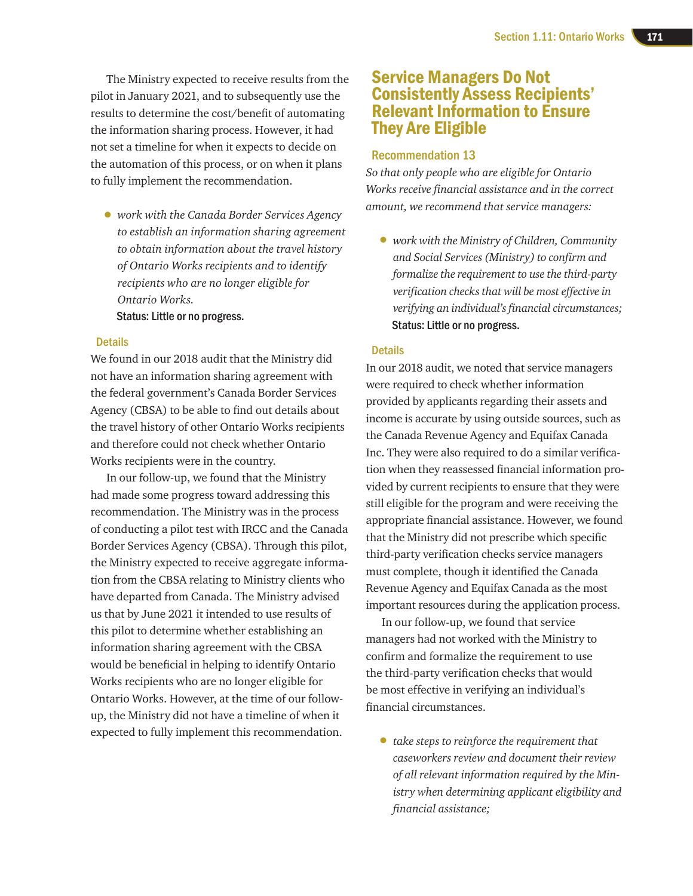The Ministry expected to receive results from the pilot in January 2021, and to subsequently use the results to determine the cost/benefit of automating the information sharing process. However, it had not set a timeline for when it expects to decide on the automation of this process, or on when it plans to fully implement the recommendation.

• *work with the Canada Border Services Agency to establish an information sharing agreement to obtain information about the travel history of Ontario Works recipients and to identify recipients who are no longer eligible for Ontario Works.*

Status: Little or no progress.

#### **Details**

We found in our 2018 audit that the Ministry did not have an information sharing agreement with the federal government's Canada Border Services Agency (CBSA) to be able to find out details about the travel history of other Ontario Works recipients and therefore could not check whether Ontario Works recipients were in the country.

In our follow-up, we found that the Ministry had made some progress toward addressing this recommendation. The Ministry was in the process of conducting a pilot test with IRCC and the Canada Border Services Agency (CBSA). Through this pilot, the Ministry expected to receive aggregate information from the CBSA relating to Ministry clients who have departed from Canada. The Ministry advised us that by June 2021 it intended to use results of this pilot to determine whether establishing an information sharing agreement with the CBSA would be beneficial in helping to identify Ontario Works recipients who are no longer eligible for Ontario Works. However, at the time of our followup, the Ministry did not have a timeline of when it expected to fully implement this recommendation.

# Service Managers Do Not Consistently Assess Recipients' Relevant Information to Ensure They Are Eligible

#### Recommendation 13

*So that only people who are eligible for Ontario Works receive financial assistance and in the correct amount, we recommend that service managers:*

• *work with the Ministry of Children, Community and Social Services (Ministry) to confirm and formalize the requirement to use the third-party verification checks that will be most effective in verifying an individual's financial circumstances;* Status: Little or no progress.

#### **Details**

In our 2018 audit, we noted that service managers were required to check whether information provided by applicants regarding their assets and income is accurate by using outside sources, such as the Canada Revenue Agency and Equifax Canada Inc. They were also required to do a similar verification when they reassessed financial information provided by current recipients to ensure that they were still eligible for the program and were receiving the appropriate financial assistance. However, we found that the Ministry did not prescribe which specific third-party verification checks service managers must complete, though it identified the Canada Revenue Agency and Equifax Canada as the most important resources during the application process.

In our follow-up, we found that service managers had not worked with the Ministry to confirm and formalize the requirement to use the third-party verification checks that would be most effective in verifying an individual's financial circumstances.

• *take steps to reinforce the requirement that caseworkers review and document their review of all relevant information required by the Ministry when determining applicant eligibility and financial assistance;*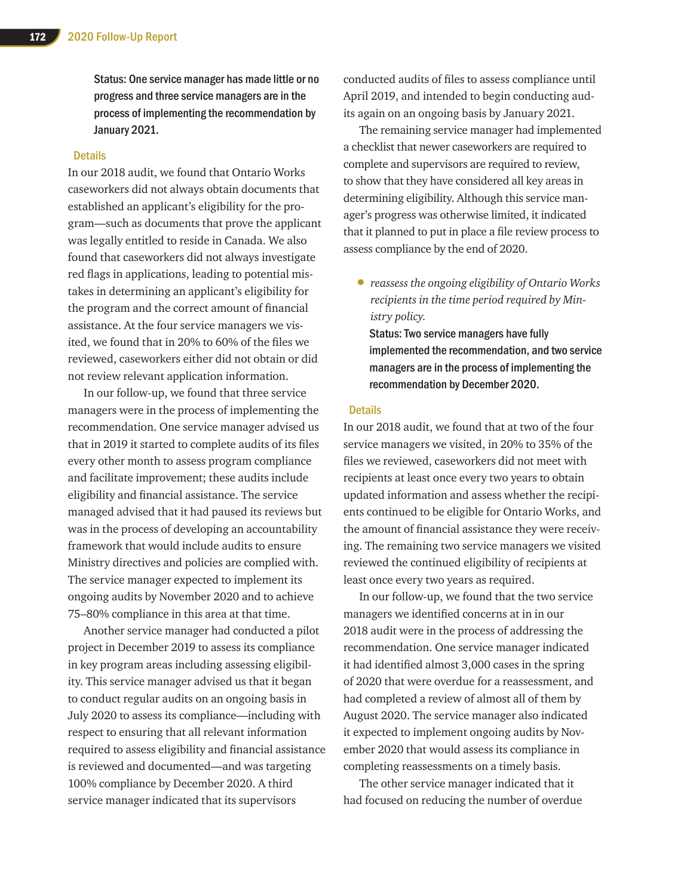Status: One service manager has made little or no progress and three service managers are in the process of implementing the recommendation by January 2021.

#### **Details**

In our 2018 audit, we found that Ontario Works caseworkers did not always obtain documents that established an applicant's eligibility for the program—such as documents that prove the applicant was legally entitled to reside in Canada. We also found that caseworkers did not always investigate red flags in applications, leading to potential mistakes in determining an applicant's eligibility for the program and the correct amount of financial assistance. At the four service managers we visited, we found that in 20% to 60% of the files we reviewed, caseworkers either did not obtain or did not review relevant application information.

In our follow-up, we found that three service managers were in the process of implementing the recommendation. One service manager advised us that in 2019 it started to complete audits of its files every other month to assess program compliance and facilitate improvement; these audits include eligibility and financial assistance. The service managed advised that it had paused its reviews but was in the process of developing an accountability framework that would include audits to ensure Ministry directives and policies are complied with. The service manager expected to implement its ongoing audits by November 2020 and to achieve 75–80% compliance in this area at that time.

Another service manager had conducted a pilot project in December 2019 to assess its compliance in key program areas including assessing eligibility. This service manager advised us that it began to conduct regular audits on an ongoing basis in July 2020 to assess its compliance—including with respect to ensuring that all relevant information required to assess eligibility and financial assistance is reviewed and documented—and was targeting 100% compliance by December 2020. A third service manager indicated that its supervisors

conducted audits of files to assess compliance until April 2019, and intended to begin conducting audits again on an ongoing basis by January 2021.

The remaining service manager had implemented a checklist that newer caseworkers are required to complete and supervisors are required to review, to show that they have considered all key areas in determining eligibility. Although this service manager's progress was otherwise limited, it indicated that it planned to put in place a file review process to assess compliance by the end of 2020.

• *reassess the ongoing eligibility of Ontario Works recipients in the time period required by Ministry policy.*

Status: Two service managers have fully implemented the recommendation, and two service managers are in the process of implementing the recommendation by December 2020.

#### **Details**

In our 2018 audit, we found that at two of the four service managers we visited, in 20% to 35% of the files we reviewed, caseworkers did not meet with recipients at least once every two years to obtain updated information and assess whether the recipients continued to be eligible for Ontario Works, and the amount of financial assistance they were receiving. The remaining two service managers we visited reviewed the continued eligibility of recipients at least once every two years as required.

In our follow-up, we found that the two service managers we identified concerns at in in our 2018 audit were in the process of addressing the recommendation. One service manager indicated it had identified almost 3,000 cases in the spring of 2020 that were overdue for a reassessment, and had completed a review of almost all of them by August 2020. The service manager also indicated it expected to implement ongoing audits by November 2020 that would assess its compliance in completing reassessments on a timely basis.

The other service manager indicated that it had focused on reducing the number of overdue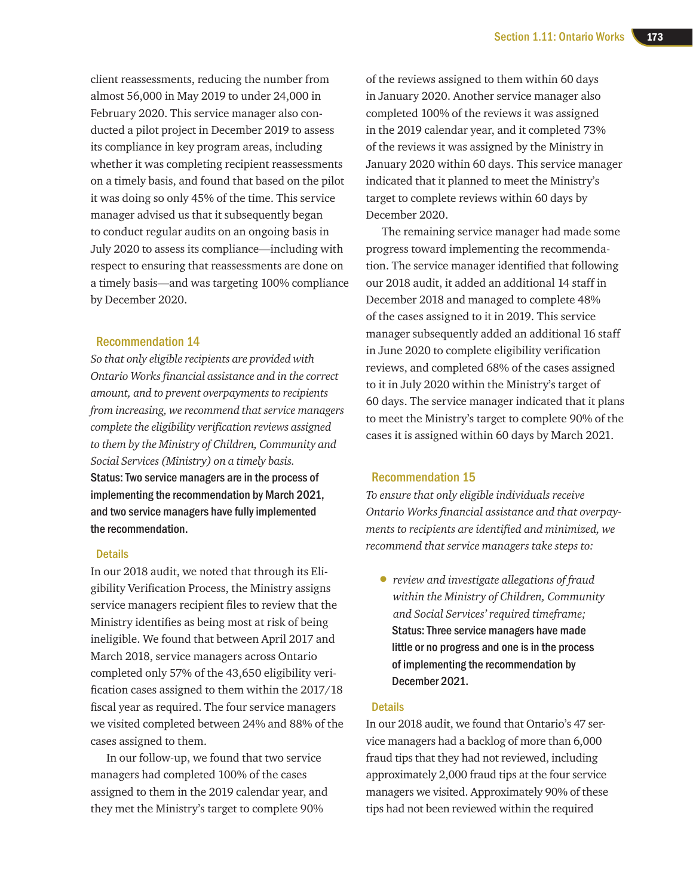client reassessments, reducing the number from almost 56,000 in May 2019 to under 24,000 in February 2020. This service manager also conducted a pilot project in December 2019 to assess its compliance in key program areas, including whether it was completing recipient reassessments on a timely basis, and found that based on the pilot it was doing so only 45% of the time. This service manager advised us that it subsequently began to conduct regular audits on an ongoing basis in July 2020 to assess its compliance—including with respect to ensuring that reassessments are done on a timely basis—and was targeting 100% compliance by December 2020.

#### Recommendation 14

*So that only eligible recipients are provided with Ontario Works financial assistance and in the correct amount, and to prevent overpayments to recipients from increasing, we recommend that service managers complete the eligibility verification reviews assigned to them by the Ministry of Children, Community and Social Services (Ministry) on a timely basis.* Status: Two service managers are in the process of implementing the recommendation by March 2021, and two service managers have fully implemented the recommendation.

#### **Details**

In our 2018 audit, we noted that through its Eligibility Verification Process, the Ministry assigns service managers recipient files to review that the Ministry identifies as being most at risk of being ineligible. We found that between April 2017 and March 2018, service managers across Ontario completed only 57% of the 43,650 eligibility verification cases assigned to them within the 2017/18 fiscal year as required. The four service managers we visited completed between 24% and 88% of the cases assigned to them.

In our follow-up, we found that two service managers had completed 100% of the cases assigned to them in the 2019 calendar year, and they met the Ministry's target to complete 90%

of the reviews assigned to them within 60 days in January 2020. Another service manager also completed 100% of the reviews it was assigned in the 2019 calendar year, and it completed 73% of the reviews it was assigned by the Ministry in January 2020 within 60 days. This service manager indicated that it planned to meet the Ministry's target to complete reviews within 60 days by December 2020.

The remaining service manager had made some progress toward implementing the recommendation. The service manager identified that following our 2018 audit, it added an additional 14 staff in December 2018 and managed to complete 48% of the cases assigned to it in 2019. This service manager subsequently added an additional 16 staff in June 2020 to complete eligibility verification reviews, and completed 68% of the cases assigned to it in July 2020 within the Ministry's target of 60 days. The service manager indicated that it plans to meet the Ministry's target to complete 90% of the cases it is assigned within 60 days by March 2021.

#### Recommendation 15

*To ensure that only eligible individuals receive Ontario Works financial assistance and that overpayments to recipients are identified and minimized, we recommend that service managers take steps to:*

• *review and investigate allegations of fraud within the Ministry of Children, Community and Social Services' required timeframe;*  Status: Three service managers have made little or no progress and one is in the process of implementing the recommendation by December 2021.

#### **Details**

In our 2018 audit, we found that Ontario's 47 service managers had a backlog of more than 6,000 fraud tips that they had not reviewed, including approximately 2,000 fraud tips at the four service managers we visited. Approximately 90% of these tips had not been reviewed within the required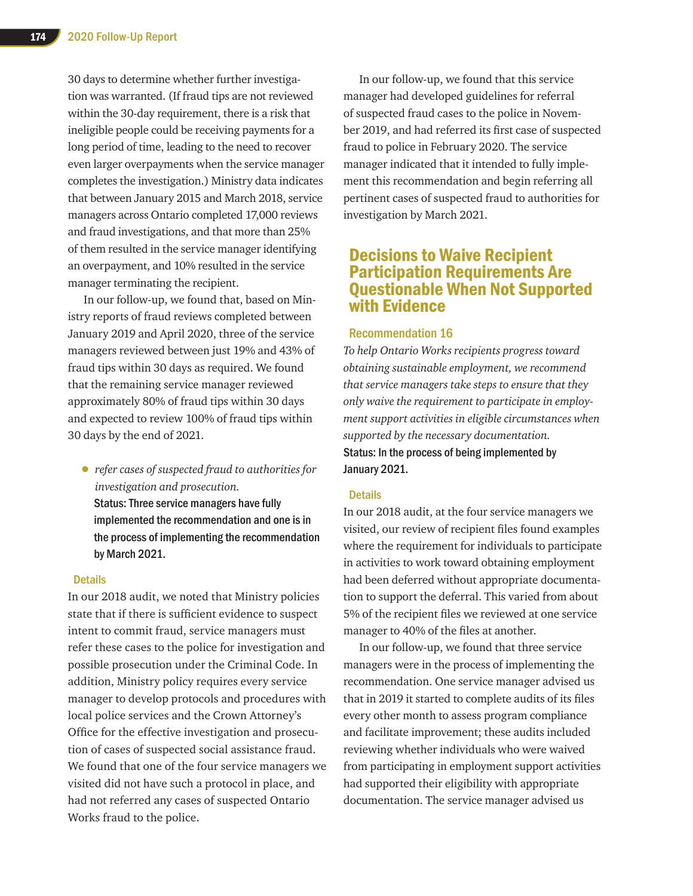30 days to determine whether further investigation was warranted. (If fraud tips are not reviewed within the 30-day requirement, there is a risk that ineligible people could be receiving payments for a long period of time, leading to the need to recover even larger overpayments when the service manager completes the investigation.) Ministry data indicates that between January 2015 and March 2018, service managers across Ontario completed 17,000 reviews and fraud investigations, and that more than 25% of them resulted in the service manager identifying an overpayment, and 10% resulted in the service manager terminating the recipient.

In our follow-up, we found that, based on Ministry reports of fraud reviews completed between January 2019 and April 2020, three of the service managers reviewed between just 19% and 43% of fraud tips within 30 days as required. We found that the remaining service manager reviewed approximately 80% of fraud tips within 30 days and expected to review 100% of fraud tips within 30 days by the end of 2021.

• *refer cases of suspected fraud to authorities for investigation and prosecution.*

Status: Three service managers have fully implemented the recommendation and one is in the process of implementing the recommendation by March 2021.

#### **Details**

In our 2018 audit, we noted that Ministry policies state that if there is sufficient evidence to suspect intent to commit fraud, service managers must refer these cases to the police for investigation and possible prosecution under the Criminal Code. In addition, Ministry policy requires every service manager to develop protocols and procedures with local police services and the Crown Attorney's Office for the effective investigation and prosecution of cases of suspected social assistance fraud. We found that one of the four service managers we visited did not have such a protocol in place, and had not referred any cases of suspected Ontario Works fraud to the police.

In our follow-up, we found that this service manager had developed guidelines for referral of suspected fraud cases to the police in November 2019, and had referred its first case of suspected fraud to police in February 2020. The service manager indicated that it intended to fully implement this recommendation and begin referring all pertinent cases of suspected fraud to authorities for investigation by March 2021.

## Decisions to Waive Recipient Participation Requirements Are Questionable When Not Supported with Evidence

#### Recommendation 16

*To help Ontario Works recipients progress toward obtaining sustainable employment, we recommend that service managers take steps to ensure that they only waive the requirement to participate in employment support activities in eligible circumstances when supported by the necessary documentation.* Status: In the process of being implemented by January 2021.

#### **Details**

In our 2018 audit, at the four service managers we visited, our review of recipient files found examples where the requirement for individuals to participate in activities to work toward obtaining employment had been deferred without appropriate documentation to support the deferral. This varied from about 5% of the recipient files we reviewed at one service manager to 40% of the files at another.

In our follow-up, we found that three service managers were in the process of implementing the recommendation. One service manager advised us that in 2019 it started to complete audits of its files every other month to assess program compliance and facilitate improvement; these audits included reviewing whether individuals who were waived from participating in employment support activities had supported their eligibility with appropriate documentation. The service manager advised us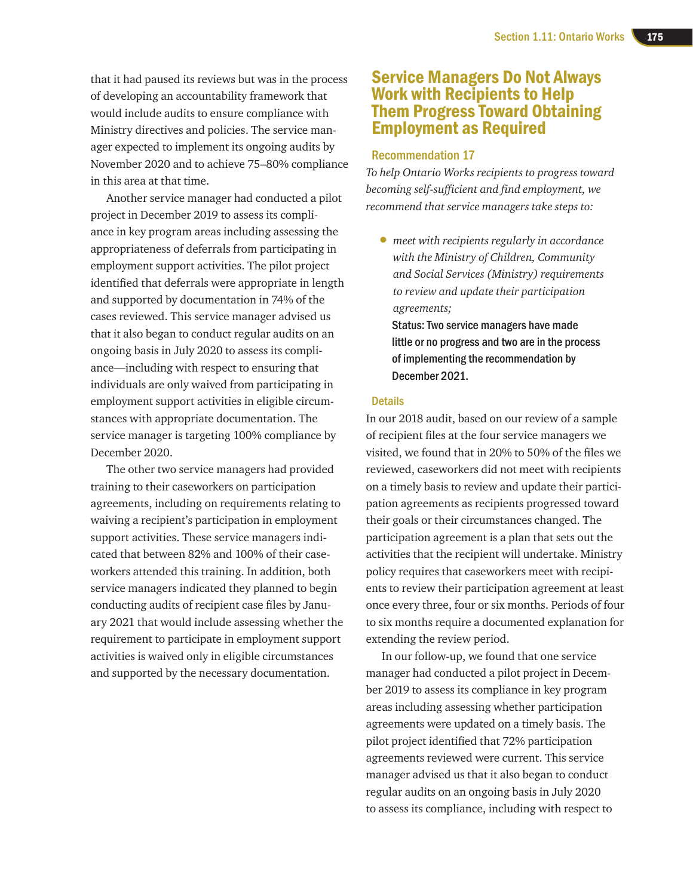that it had paused its reviews but was in the process of developing an accountability framework that would include audits to ensure compliance with Ministry directives and policies. The service manager expected to implement its ongoing audits by November 2020 and to achieve 75–80% compliance in this area at that time.

Another service manager had conducted a pilot project in December 2019 to assess its compliance in key program areas including assessing the appropriateness of deferrals from participating in employment support activities. The pilot project identified that deferrals were appropriate in length and supported by documentation in 74% of the cases reviewed. This service manager advised us that it also began to conduct regular audits on an ongoing basis in July 2020 to assess its compliance—including with respect to ensuring that individuals are only waived from participating in employment support activities in eligible circumstances with appropriate documentation. The service manager is targeting 100% compliance by December 2020.

The other two service managers had provided training to their caseworkers on participation agreements, including on requirements relating to waiving a recipient's participation in employment support activities. These service managers indicated that between 82% and 100% of their caseworkers attended this training. In addition, both service managers indicated they planned to begin conducting audits of recipient case files by January 2021 that would include assessing whether the requirement to participate in employment support activities is waived only in eligible circumstances and supported by the necessary documentation.

# Service Managers Do Not Always Work with Recipients to Help Them Progress Toward Obtaining Employment as Required

#### Recommendation 17

*To help Ontario Works recipients to progress toward becoming self-sufficient and find employment, we recommend that service managers take steps to:*

• *meet with recipients regularly in accordance with the Ministry of Children, Community and Social Services (Ministry) requirements to review and update their participation agreements;*

Status: Two service managers have made little or no progress and two are in the process of implementing the recommendation by December 2021.

#### **Details**

In our 2018 audit, based on our review of a sample of recipient files at the four service managers we visited, we found that in 20% to 50% of the files we reviewed, caseworkers did not meet with recipients on a timely basis to review and update their participation agreements as recipients progressed toward their goals or their circumstances changed. The participation agreement is a plan that sets out the activities that the recipient will undertake. Ministry policy requires that caseworkers meet with recipients to review their participation agreement at least once every three, four or six months. Periods of four to six months require a documented explanation for extending the review period.

In our follow-up, we found that one service manager had conducted a pilot project in December 2019 to assess its compliance in key program areas including assessing whether participation agreements were updated on a timely basis. The pilot project identified that 72% participation agreements reviewed were current. This service manager advised us that it also began to conduct regular audits on an ongoing basis in July 2020 to assess its compliance, including with respect to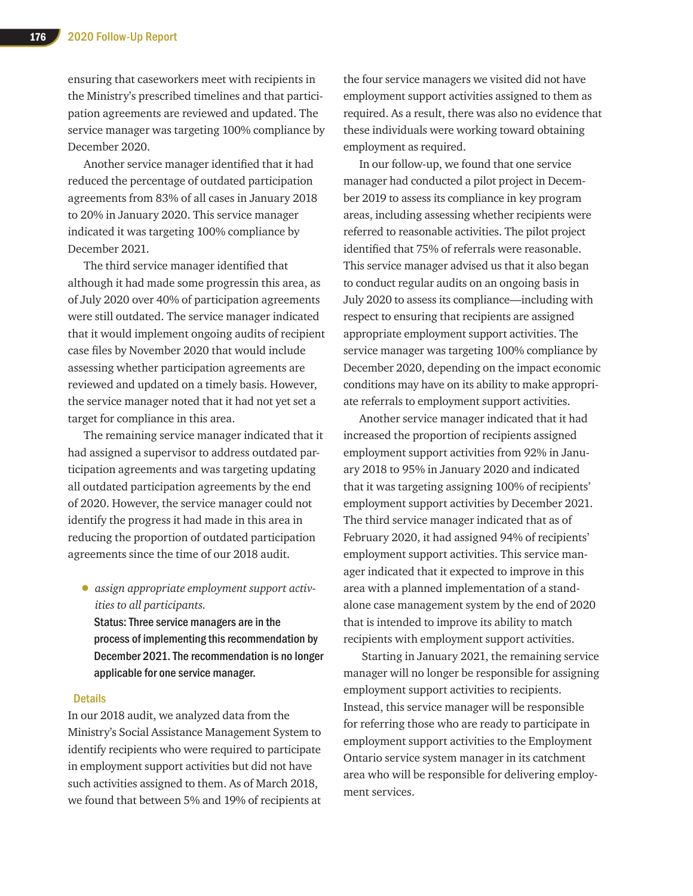ensuring that caseworkers meet with recipients in the Ministry's prescribed timelines and that participation agreements are reviewed and updated. The service manager was targeting 100% compliance by December 2020.

Another service manager identified that it had reduced the percentage of outdated participation agreements from 83% of all cases in January 2018 to 20% in January 2020. This service manager indicated it was targeting 100% compliance by December 2021.

The third service manager identified that although it had made some progressin this area, as of July 2020 over 40% of participation agreements were still outdated. The service manager indicated that it would implement ongoing audits of recipient case files by November 2020 that would include assessing whether participation agreements are reviewed and updated on a timely basis. However, the service manager noted that it had not yet set a target for compliance in this area.

The remaining service manager indicated that it had assigned a supervisor to address outdated participation agreements and was targeting updating all outdated participation agreements by the end of 2020. However, the service manager could not identify the progress it had made in this area in reducing the proportion of outdated participation agreements since the time of our 2018 audit.

• *assign appropriate employment support activities to all participants.*

Status: Three service managers are in the process of implementing this recommendation by December 2021. The recommendation is no longer applicable for one service manager.

#### **Details**

In our 2018 audit, we analyzed data from the Ministry's Social Assistance Management System to identify recipients who were required to participate in employment support activities but did not have such activities assigned to them. As of March 2018, we found that between 5% and 19% of recipients at the four service managers we visited did not have employment support activities assigned to them as required. As a result, there was also no evidence that these individuals were working toward obtaining employment as required.

In our follow-up, we found that one service manager had conducted a pilot project in December 2019 to assess its compliance in key program areas, including assessing whether recipients were referred to reasonable activities. The pilot project identified that 75% of referrals were reasonable. This service manager advised us that it also began to conduct regular audits on an ongoing basis in July 2020 to assess its compliance—including with respect to ensuring that recipients are assigned appropriate employment support activities. The service manager was targeting 100% compliance by December 2020, depending on the impact economic conditions may have on its ability to make appropriate referrals to employment support activities.

Another service manager indicated that it had increased the proportion of recipients assigned employment support activities from 92% in January 2018 to 95% in January 2020 and indicated that it was targeting assigning 100% of recipients' employment support activities by December 2021. The third service manager indicated that as of February 2020, it had assigned 94% of recipients' employment support activities. This service manager indicated that it expected to improve in this area with a planned implementation of a standalone case management system by the end of 2020 that is intended to improve its ability to match recipients with employment support activities.

 Starting in January 2021, the remaining service manager will no longer be responsible for assigning employment support activities to recipients. Instead, this service manager will be responsible for referring those who are ready to participate in employment support activities to the Employment Ontario service system manager in its catchment area who will be responsible for delivering employment services.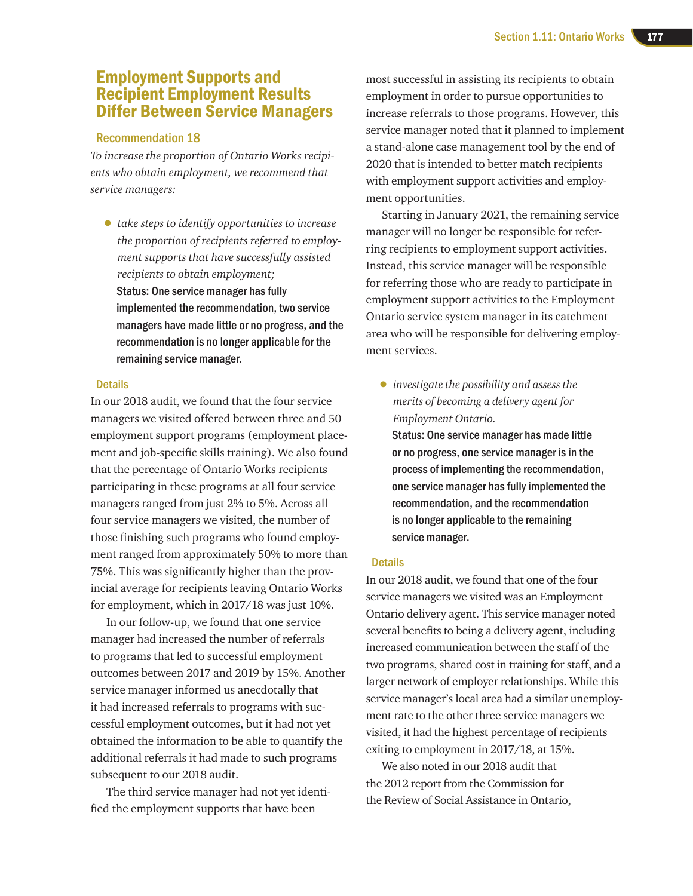# Employment Supports and Recipient Employment Results Differ Between Service Managers

#### Recommendation 18

*To increase the proportion of Ontario Works recipients who obtain employment, we recommend that service managers:*

• *take steps to identify opportunities to increase the proportion of recipients referred to employment supports that have successfully assisted recipients to obtain employment;*  Status: One service manager has fully implemented the recommendation, two service managers have made little or no progress, and the recommendation is no longer applicable for the remaining service manager.

#### **Details**

In our 2018 audit, we found that the four service managers we visited offered between three and 50 employment support programs (employment placement and job-specific skills training). We also found that the percentage of Ontario Works recipients participating in these programs at all four service managers ranged from just 2% to 5%. Across all four service managers we visited, the number of those finishing such programs who found employment ranged from approximately 50% to more than 75%. This was significantly higher than the provincial average for recipients leaving Ontario Works for employment, which in 2017/18 was just 10%.

In our follow-up, we found that one service manager had increased the number of referrals to programs that led to successful employment outcomes between 2017 and 2019 by 15%. Another service manager informed us anecdotally that it had increased referrals to programs with successful employment outcomes, but it had not yet obtained the information to be able to quantify the additional referrals it had made to such programs subsequent to our 2018 audit.

The third service manager had not yet identified the employment supports that have been

most successful in assisting its recipients to obtain employment in order to pursue opportunities to increase referrals to those programs. However, this service manager noted that it planned to implement a stand-alone case management tool by the end of 2020 that is intended to better match recipients with employment support activities and employment opportunities.

Starting in January 2021, the remaining service manager will no longer be responsible for referring recipients to employment support activities. Instead, this service manager will be responsible for referring those who are ready to participate in employment support activities to the Employment Ontario service system manager in its catchment area who will be responsible for delivering employment services.

• *investigate the possibility and assess the merits of becoming a delivery agent for Employment Ontario.*

Status: One service manager has made little or no progress, one service manager is in the process of implementing the recommendation, one service manager has fully implemented the recommendation, and the recommendation is no longer applicable to the remaining service manager.

#### **Details**

In our 2018 audit, we found that one of the four service managers we visited was an Employment Ontario delivery agent. This service manager noted several benefits to being a delivery agent, including increased communication between the staff of the two programs, shared cost in training for staff, and a larger network of employer relationships. While this service manager's local area had a similar unemployment rate to the other three service managers we visited, it had the highest percentage of recipients exiting to employment in 2017/18, at 15%.

We also noted in our 2018 audit that the 2012 report from the Commission for the Review of Social Assistance in Ontario,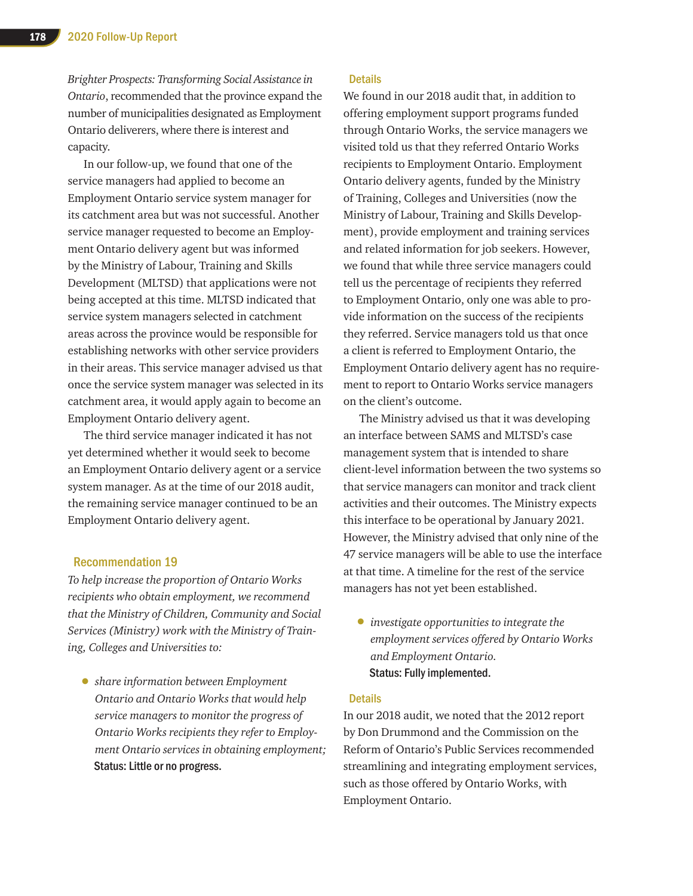*Brighter Prospects: Transforming Social Assistance in Ontario*, recommended that the province expand the number of municipalities designated as Employment Ontario deliverers, where there is interest and capacity.

In our follow-up, we found that one of the service managers had applied to become an Employment Ontario service system manager for its catchment area but was not successful. Another service manager requested to become an Employment Ontario delivery agent but was informed by the Ministry of Labour, Training and Skills Development (MLTSD) that applications were not being accepted at this time. MLTSD indicated that service system managers selected in catchment areas across the province would be responsible for establishing networks with other service providers in their areas. This service manager advised us that once the service system manager was selected in its catchment area, it would apply again to become an Employment Ontario delivery agent.

The third service manager indicated it has not yet determined whether it would seek to become an Employment Ontario delivery agent or a service system manager. As at the time of our 2018 audit, the remaining service manager continued to be an Employment Ontario delivery agent.

#### Recommendation 19

*To help increase the proportion of Ontario Works recipients who obtain employment, we recommend that the Ministry of Children, Community and Social Services (Ministry) work with the Ministry of Training, Colleges and Universities to:*

• *share information between Employment Ontario and Ontario Works that would help service managers to monitor the progress of Ontario Works recipients they refer to Employment Ontario services in obtaining employment;*  Status: Little or no progress.

#### **Details**

We found in our 2018 audit that, in addition to offering employment support programs funded through Ontario Works, the service managers we visited told us that they referred Ontario Works recipients to Employment Ontario. Employment Ontario delivery agents, funded by the Ministry of Training, Colleges and Universities (now the Ministry of Labour, Training and Skills Development), provide employment and training services and related information for job seekers. However, we found that while three service managers could tell us the percentage of recipients they referred to Employment Ontario, only one was able to provide information on the success of the recipients they referred. Service managers told us that once a client is referred to Employment Ontario, the Employment Ontario delivery agent has no requirement to report to Ontario Works service managers on the client's outcome.

The Ministry advised us that it was developing an interface between SAMS and MLTSD's case management system that is intended to share client-level information between the two systems so that service managers can monitor and track client activities and their outcomes. The Ministry expects this interface to be operational by January 2021. However, the Ministry advised that only nine of the 47 service managers will be able to use the interface at that time. A timeline for the rest of the service managers has not yet been established.

• *investigate opportunities to integrate the employment services offered by Ontario Works and Employment Ontario.* Status: Fully implemented.

#### **Details**

In our 2018 audit, we noted that the 2012 report by Don Drummond and the Commission on the Reform of Ontario's Public Services recommended streamlining and integrating employment services, such as those offered by Ontario Works, with Employment Ontario.